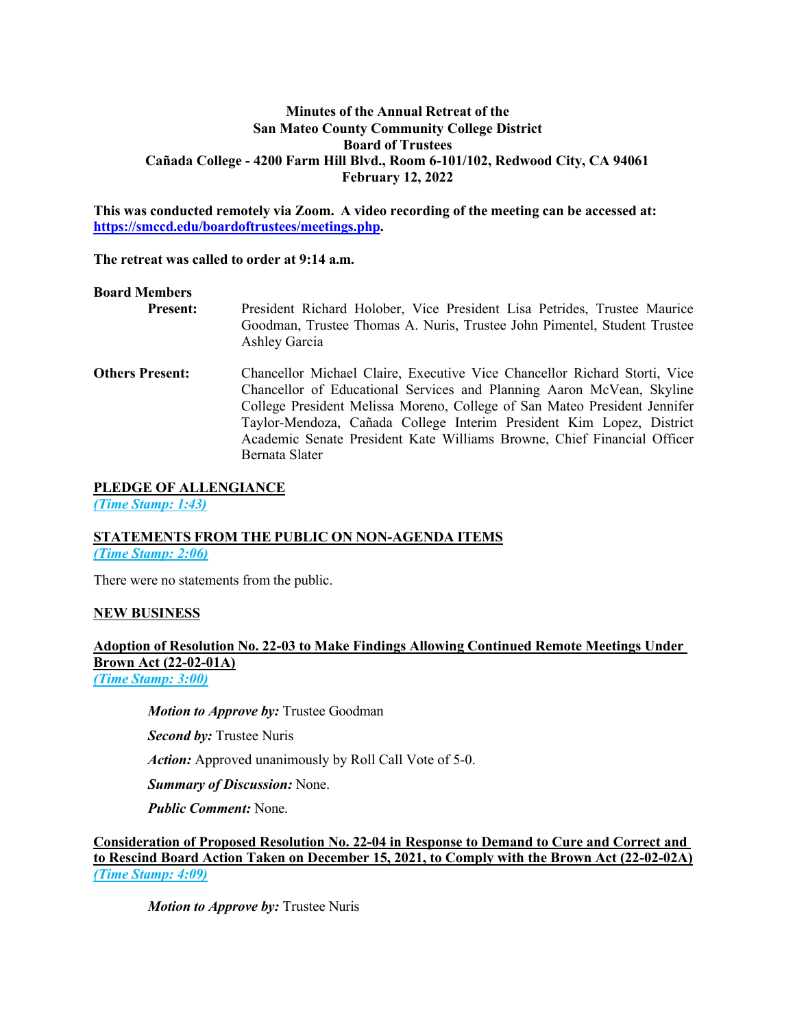# **Minutes of the Annual Retreat of the San Mateo County Community College District Board of Trustees Cañada College - 4200 Farm Hill Blvd., Room 6-101/102, Redwood City, CA 94061 February 12, 2022**

**This was conducted remotely via Zoom. A video recording of the meeting can be accessed at: https://smccd.edu/boardoftrustees/meetings.php.**

### **The retreat was called to order at 9:14 a.m.**

### **Board Members**

**Present:** President Richard Holober, Vice President Lisa Petrides, Trustee Maurice Goodman, Trustee Thomas A. Nuris, Trustee John Pimentel, Student Trustee Ashley Garcia

**Others Present:** Chancellor Michael Claire, Executive Vice Chancellor Richard Storti, Vice Chancellor of Educational Services and Planning Aaron McVean, Skyline College President Melissa Moreno, College of San Mateo President Jennifer Taylor-Mendoza, Cañada College Interim President Kim Lopez, District Academic Senate President Kate Williams Browne, Chief Financial Officer Bernata Slater

### **PLEDGE OF ALLENGIANCE**

*(Time Stamp: 1:43)*

### **STATEMENTS FROM THE PUBLIC ON NON-AGENDA ITEMS** *(Time Stamp: 2:06)*

There were no statements from the public.

# **NEW BUSINESS**

# **Adoption of Resolution No. 22-03 to Make Findings Allowing Continued Remote Meetings Under Brown Act (22-02-01A)**

*(Time Stamp: 3:00)*

# *Motion to Approve by:* Trustee Goodman

*Second by:* Trustee Nuris

*Action:* Approved unanimously by Roll Call Vote of 5-0.

*Summary of Discussion:* None.

*Public Comment:* None.

**Consideration of Proposed Resolution No. 22-04 in Response to Demand to Cure and Correct and to Rescind Board Action Taken on December 15, 2021, to Comply with the Brown Act (22-02-02A)** *(Time Stamp: 4:09)*

*Motion to Approve by:* Trustee Nuris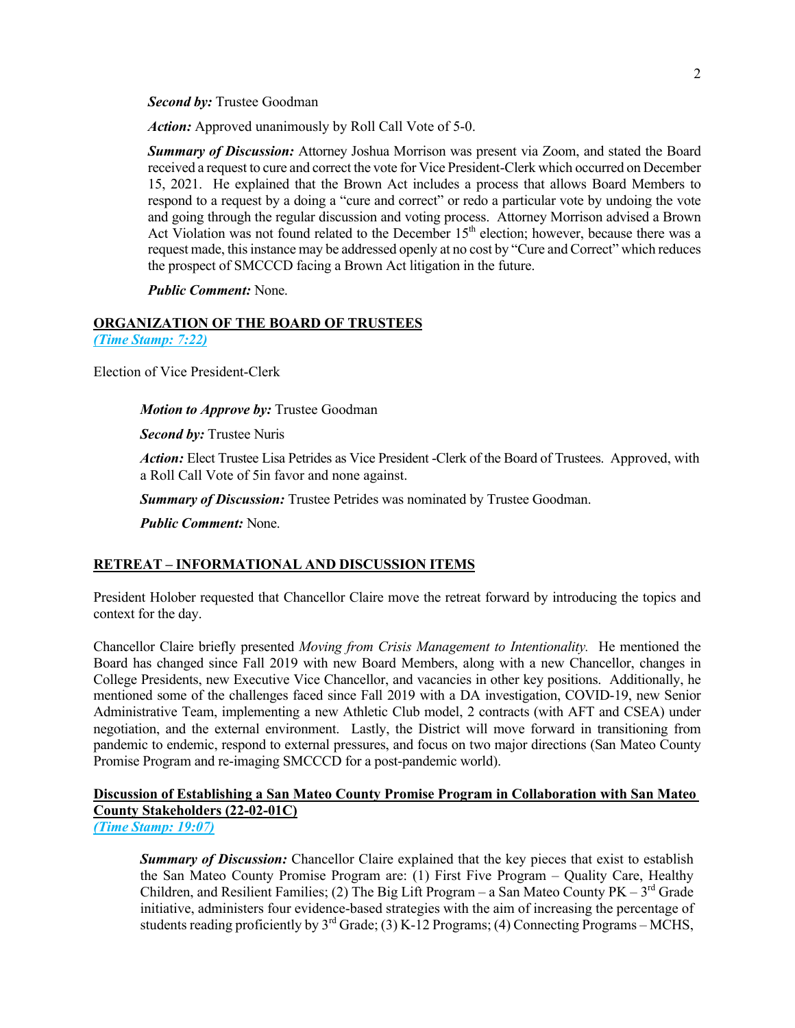*Second by:* Trustee Goodman

*Action:* Approved unanimously by Roll Call Vote of 5-0.

*Summary of Discussion:* Attorney Joshua Morrison was present via Zoom, and stated the Board received a request to cure and correct the vote for Vice President-Clerk which occurred on December 15, 2021. He explained that the Brown Act includes a process that allows Board Members to respond to a request by a doing a "cure and correct" or redo a particular vote by undoing the vote and going through the regular discussion and voting process. Attorney Morrison advised a Brown Act Violation was not found related to the December 15<sup>th</sup> election; however, because there was a request made, this instance may be addressed openly at no cost by "Cure and Correct" which reduces the prospect of SMCCCD facing a Brown Act litigation in the future.

*Public Comment:* None.

### **ORGANIZATION OF THE BOARD OF TRUSTEES** *(Time Stamp: 7:22)*

Election of Vice President-Clerk

*Motion to Approve by:* Trustee Goodman

*Second by:* Trustee Nuris

*Action:* Elect Trustee Lisa Petrides as Vice President -Clerk of the Board of Trustees. Approved, with a Roll Call Vote of 5in favor and none against.

*Summary of Discussion:* Trustee Petrides was nominated by Trustee Goodman.

*Public Comment:* None.

### **RETREAT – INFORMATIONAL AND DISCUSSION ITEMS**

President Holober requested that Chancellor Claire move the retreat forward by introducing the topics and context for the day.

Chancellor Claire briefly presented *Moving from Crisis Management to Intentionality.* He mentioned the Board has changed since Fall 2019 with new Board Members, along with a new Chancellor, changes in College Presidents, new Executive Vice Chancellor, and vacancies in other key positions. Additionally, he mentioned some of the challenges faced since Fall 2019 with a DA investigation, COVID-19, new Senior Administrative Team, implementing a new Athletic Club model, 2 contracts (with AFT and CSEA) under negotiation, and the external environment. Lastly, the District will move forward in transitioning from pandemic to endemic, respond to external pressures, and focus on two major directions (San Mateo County Promise Program and re-imaging SMCCCD for a post-pandemic world).

# **Discussion of Establishing a San Mateo County Promise Program in Collaboration with San Mateo County Stakeholders (22-02-01C)**

*(Time Stamp: 19:07)*

*Summary of Discussion:* Chancellor Claire explained that the key pieces that exist to establish the San Mateo County Promise Program are: (1) First Five Program – Quality Care, Healthy Children, and Resilient Families; (2) The Big Lift Program – a San Mateo County  $PK - 3<sup>rd</sup>$  Grade initiative, administers four evidence-based strategies with the aim of increasing the percentage of students reading proficiently by  $3^{rd}$  Grade; (3) K-12 Programs; (4) Connecting Programs – MCHS,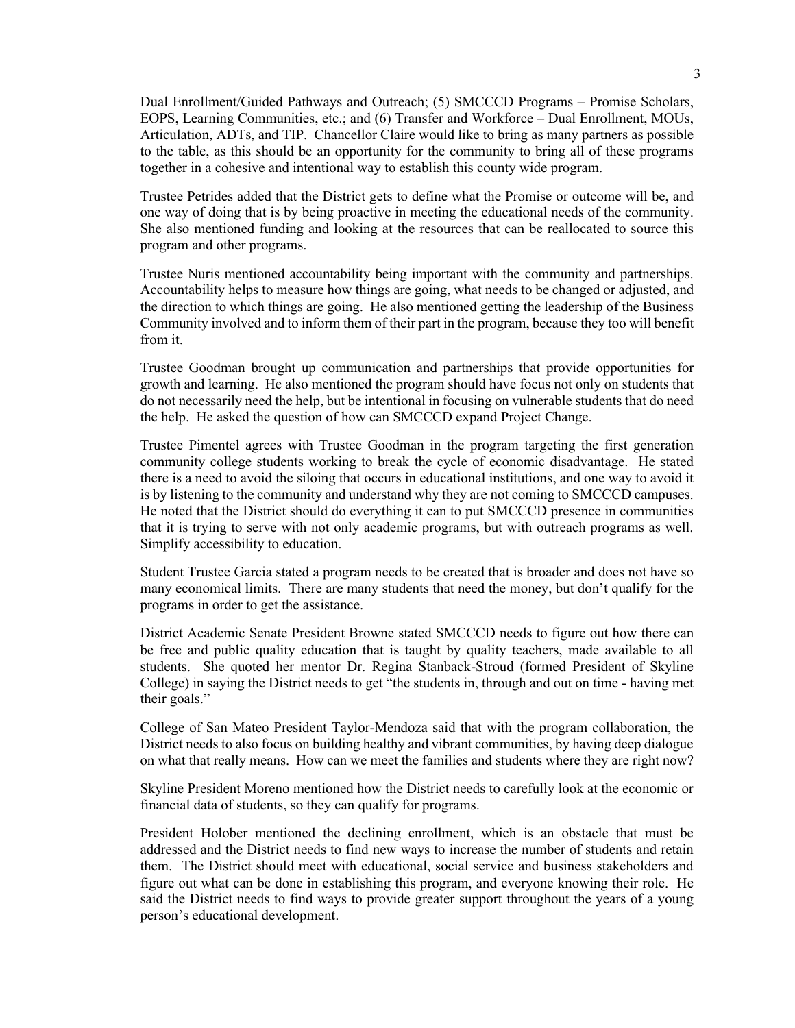Dual Enrollment/Guided Pathways and Outreach; (5) SMCCCD Programs – Promise Scholars, EOPS, Learning Communities, etc.; and (6) Transfer and Workforce – Dual Enrollment, MOUs, Articulation, ADTs, and TIP. Chancellor Claire would like to bring as many partners as possible to the table, as this should be an opportunity for the community to bring all of these programs together in a cohesive and intentional way to establish this county wide program.

Trustee Petrides added that the District gets to define what the Promise or outcome will be, and one way of doing that is by being proactive in meeting the educational needs of the community. She also mentioned funding and looking at the resources that can be reallocated to source this program and other programs.

Trustee Nuris mentioned accountability being important with the community and partnerships. Accountability helps to measure how things are going, what needs to be changed or adjusted, and the direction to which things are going. He also mentioned getting the leadership of the Business Community involved and to inform them of their part in the program, because they too will benefit from it.

Trustee Goodman brought up communication and partnerships that provide opportunities for growth and learning. He also mentioned the program should have focus not only on students that do not necessarily need the help, but be intentional in focusing on vulnerable students that do need the help. He asked the question of how can SMCCCD expand Project Change.

Trustee Pimentel agrees with Trustee Goodman in the program targeting the first generation community college students working to break the cycle of economic disadvantage. He stated there is a need to avoid the siloing that occurs in educational institutions, and one way to avoid it is by listening to the community and understand why they are not coming to SMCCCD campuses. He noted that the District should do everything it can to put SMCCCD presence in communities that it is trying to serve with not only academic programs, but with outreach programs as well. Simplify accessibility to education.

Student Trustee Garcia stated a program needs to be created that is broader and does not have so many economical limits. There are many students that need the money, but don't qualify for the programs in order to get the assistance.

District Academic Senate President Browne stated SMCCCD needs to figure out how there can be free and public quality education that is taught by quality teachers, made available to all students. She quoted her mentor Dr. Regina Stanback-Stroud (formed President of Skyline College) in saying the District needs to get "the students in, through and out on time - having met their goals."

College of San Mateo President Taylor-Mendoza said that with the program collaboration, the District needs to also focus on building healthy and vibrant communities, by having deep dialogue on what that really means. How can we meet the families and students where they are right now?

Skyline President Moreno mentioned how the District needs to carefully look at the economic or financial data of students, so they can qualify for programs.

President Holober mentioned the declining enrollment, which is an obstacle that must be addressed and the District needs to find new ways to increase the number of students and retain them. The District should meet with educational, social service and business stakeholders and figure out what can be done in establishing this program, and everyone knowing their role. He said the District needs to find ways to provide greater support throughout the years of a young person's educational development.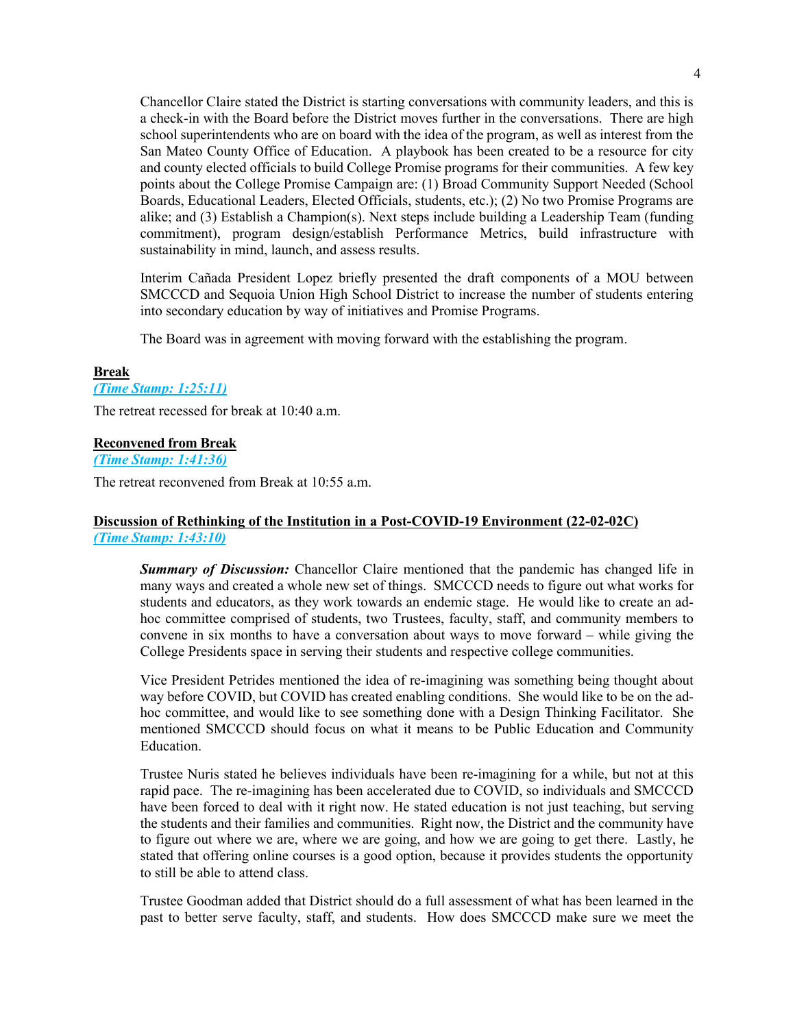Chancellor Claire stated the District is starting conversations with community leaders, and this is a check-in with the Board before the District moves further in the conversations. There are high school superintendents who are on board with the idea of the program, as well as interest from the San Mateo County Office of Education. A playbook has been created to be a resource for city and county elected officials to build College Promise programs for their communities. A few key points about the College Promise Campaign are: (1) Broad Community Support Needed (School Boards, Educational Leaders, Elected Officials, students, etc.); (2) No two Promise Programs are alike; and (3) Establish a Champion(s). Next steps include building a Leadership Team (funding commitment), program design/establish Performance Metrics, build infrastructure with sustainability in mind, launch, and assess results.

Interim Cañada President Lopez briefly presented the draft components of a MOU between SMCCCD and Sequoia Union High School District to increase the number of students entering into secondary education by way of initiatives and Promise Programs.

The Board was in agreement with moving forward with the establishing the program.

### **Break**

### *(Time Stamp: 1:25:11)*

The retreat recessed for break at 10:40 a.m.

### **Reconvened from Break**

*(Time Stamp: 1:41:36)*

The retreat reconvened from Break at 10:55 a.m.

### **Discussion of Rethinking of the Institution in a Post-COVID-19 Environment (22-02-02C)** *(Time Stamp: 1:43:10)*

*Summary of Discussion:* Chancellor Claire mentioned that the pandemic has changed life in many ways and created a whole new set of things. SMCCCD needs to figure out what works for students and educators, as they work towards an endemic stage. He would like to create an adhoc committee comprised of students, two Trustees, faculty, staff, and community members to convene in six months to have a conversation about ways to move forward – while giving the College Presidents space in serving their students and respective college communities.

Vice President Petrides mentioned the idea of re-imagining was something being thought about way before COVID, but COVID has created enabling conditions. She would like to be on the adhoc committee, and would like to see something done with a Design Thinking Facilitator. She mentioned SMCCCD should focus on what it means to be Public Education and Community Education.

Trustee Nuris stated he believes individuals have been re-imagining for a while, but not at this rapid pace. The re-imagining has been accelerated due to COVID, so individuals and SMCCCD have been forced to deal with it right now. He stated education is not just teaching, but serving the students and their families and communities. Right now, the District and the community have to figure out where we are, where we are going, and how we are going to get there. Lastly, he stated that offering online courses is a good option, because it provides students the opportunity to still be able to attend class.

Trustee Goodman added that District should do a full assessment of what has been learned in the past to better serve faculty, staff, and students. How does SMCCCD make sure we meet the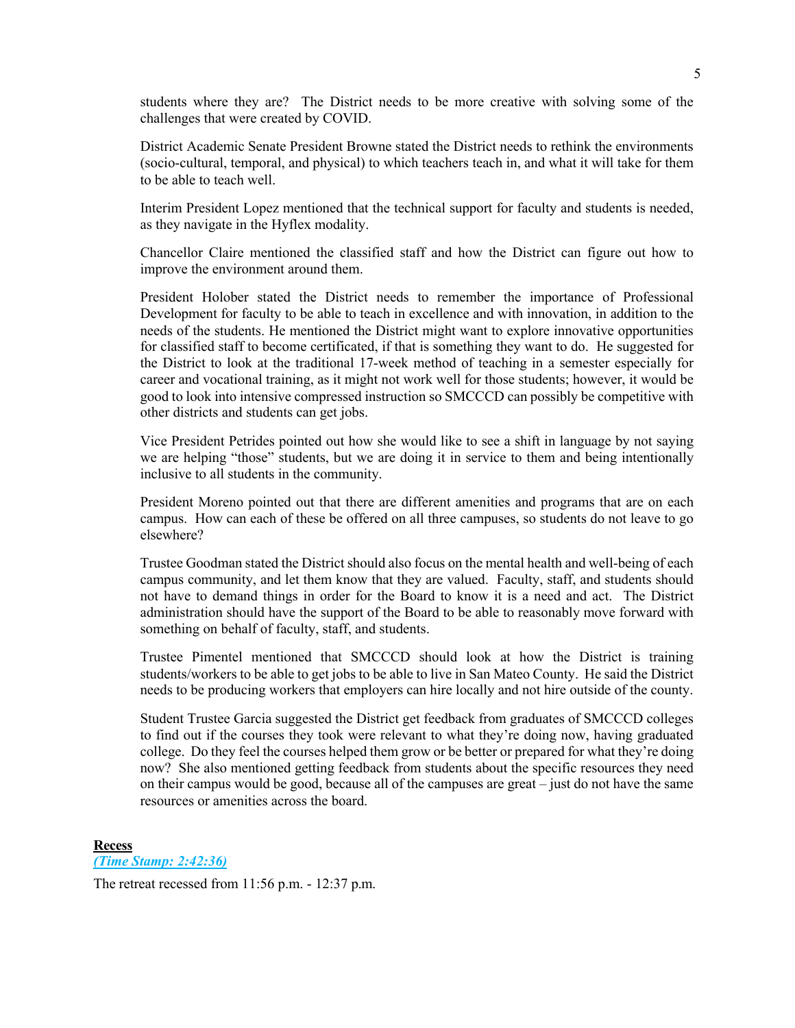students where they are? The District needs to be more creative with solving some of the challenges that were created by COVID.

District Academic Senate President Browne stated the District needs to rethink the environments (socio-cultural, temporal, and physical) to which teachers teach in, and what it will take for them to be able to teach well.

Interim President Lopez mentioned that the technical support for faculty and students is needed, as they navigate in the Hyflex modality.

Chancellor Claire mentioned the classified staff and how the District can figure out how to improve the environment around them.

President Holober stated the District needs to remember the importance of Professional Development for faculty to be able to teach in excellence and with innovation, in addition to the needs of the students. He mentioned the District might want to explore innovative opportunities for classified staff to become certificated, if that is something they want to do. He suggested for the District to look at the traditional 17-week method of teaching in a semester especially for career and vocational training, as it might not work well for those students; however, it would be good to look into intensive compressed instruction so SMCCCD can possibly be competitive with other districts and students can get jobs.

Vice President Petrides pointed out how she would like to see a shift in language by not saying we are helping "those" students, but we are doing it in service to them and being intentionally inclusive to all students in the community.

President Moreno pointed out that there are different amenities and programs that are on each campus. How can each of these be offered on all three campuses, so students do not leave to go elsewhere?

Trustee Goodman stated the District should also focus on the mental health and well-being of each campus community, and let them know that they are valued. Faculty, staff, and students should not have to demand things in order for the Board to know it is a need and act. The District administration should have the support of the Board to be able to reasonably move forward with something on behalf of faculty, staff, and students.

Trustee Pimentel mentioned that SMCCCD should look at how the District is training students/workers to be able to get jobs to be able to live in San Mateo County. He said the District needs to be producing workers that employers can hire locally and not hire outside of the county.

Student Trustee Garcia suggested the District get feedback from graduates of SMCCCD colleges to find out if the courses they took were relevant to what they're doing now, having graduated college. Do they feel the courses helped them grow or be better or prepared for what they're doing now? She also mentioned getting feedback from students about the specific resources they need on their campus would be good, because all of the campuses are great – just do not have the same resources or amenities across the board.

#### **Recess**

*(Time Stamp: 2:42:36)*

The retreat recessed from 11:56 p.m. - 12:37 p.m.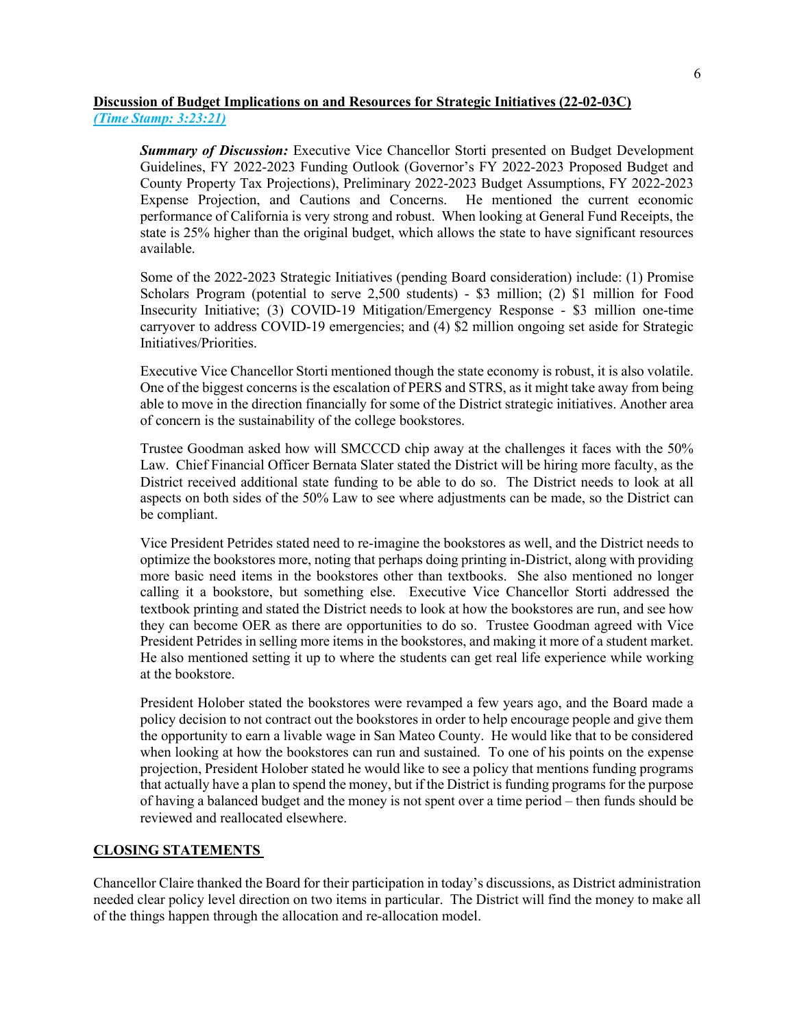### **Discussion of Budget Implications on and Resources for Strategic Initiatives (22-02-03C)** *(Time Stamp: 3:23:21)*

**Summary of Discussion:** Executive Vice Chancellor Storti presented on Budget Development Guidelines, FY 2022-2023 Funding Outlook (Governor's FY 2022-2023 Proposed Budget and County Property Tax Projections), Preliminary 2022-2023 Budget Assumptions, FY 2022-2023 Expense Projection, and Cautions and Concerns. He mentioned the current economic performance of California is very strong and robust. When looking at General Fund Receipts, the state is 25% higher than the original budget, which allows the state to have significant resources available.

Some of the 2022-2023 Strategic Initiatives (pending Board consideration) include: (1) Promise Scholars Program (potential to serve 2,500 students) - \$3 million; (2) \$1 million for Food Insecurity Initiative; (3) COVID-19 Mitigation/Emergency Response - \$3 million one-time carryover to address COVID-19 emergencies; and (4) \$2 million ongoing set aside for Strategic Initiatives/Priorities.

Executive Vice Chancellor Storti mentioned though the state economy is robust, it is also volatile. One of the biggest concerns is the escalation of PERS and STRS, as it might take away from being able to move in the direction financially for some of the District strategic initiatives. Another area of concern is the sustainability of the college bookstores.

Trustee Goodman asked how will SMCCCD chip away at the challenges it faces with the 50% Law. Chief Financial Officer Bernata Slater stated the District will be hiring more faculty, as the District received additional state funding to be able to do so. The District needs to look at all aspects on both sides of the 50% Law to see where adjustments can be made, so the District can be compliant.

Vice President Petrides stated need to re-imagine the bookstores as well, and the District needs to optimize the bookstores more, noting that perhaps doing printing in-District, along with providing more basic need items in the bookstores other than textbooks. She also mentioned no longer calling it a bookstore, but something else. Executive Vice Chancellor Storti addressed the textbook printing and stated the District needs to look at how the bookstores are run, and see how they can become OER as there are opportunities to do so. Trustee Goodman agreed with Vice President Petrides in selling more items in the bookstores, and making it more of a student market. He also mentioned setting it up to where the students can get real life experience while working at the bookstore.

President Holober stated the bookstores were revamped a few years ago, and the Board made a policy decision to not contract out the bookstores in order to help encourage people and give them the opportunity to earn a livable wage in San Mateo County. He would like that to be considered when looking at how the bookstores can run and sustained. To one of his points on the expense projection, President Holober stated he would like to see a policy that mentions funding programs that actually have a plan to spend the money, but if the District is funding programs for the purpose of having a balanced budget and the money is not spent over a time period – then funds should be reviewed and reallocated elsewhere.

### **CLOSING STATEMENTS**

Chancellor Claire thanked the Board for their participation in today's discussions, as District administration needed clear policy level direction on two items in particular. The District will find the money to make all of the things happen through the allocation and re-allocation model.